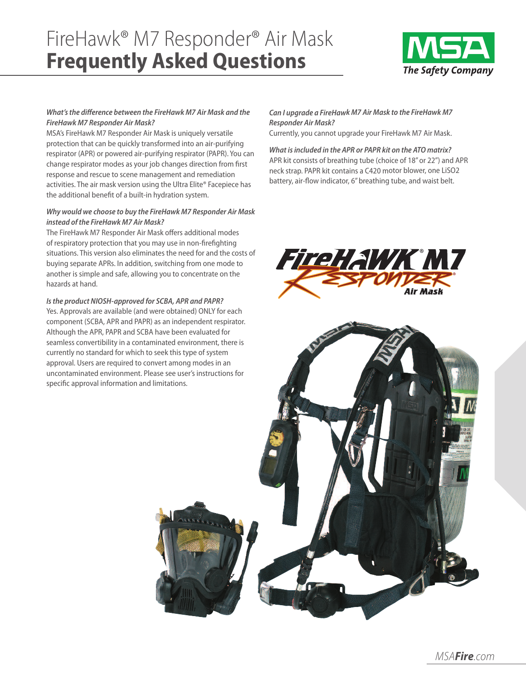# FireHawk® M7 Responder® Air Mask **Frequently Asked Questions**



## *What'sthe difference between the FireHawk M7 Air Mask and the FireHawk M7 Responder Air Mask?*

MSA's FireHawk M7 Responder Air Mask is uniquely versatile protection that can be quickly transformed into an air-purifying respirator (APR) or powered air-purifying respirator (PAPR). You can change respirator modes as your job changes direction from first response and rescue to scene management and remediation activities. The air mask version using the Ultra Elite® Facepiece has the additional benefit of a built-in hydration system.

# *Why would we choose to buy the FireHawk M7 Responder Air Mask instead of the FireHawk M7 Air Mask?*

The FireHawk M7 Responder Air Mask offers additional modes of respiratory protection that you may use in non-firefighting situations. This version also eliminates the need for and the costs of buying separate APRs. In addition, switching from one mode to another is simple and safe, allowing you to concentrate on the hazards at hand.

# *Isthe product NIOSH-approved for SCBA, APR and PAPR?*

Yes. Approvals are available (and were obtained) ONLY for each component (SCBA, APR and PAPR) as an independent respirator. Although the APR, PAPR and SCBA have been evaluated for seamless convertibility in a contaminated environment, there is currently no standard for which to seek this type of system approval. Users are required to convert among modes in an uncontaminated environment. Please see user's instructions for specific approval information and limitations.

## *Can I upgrade <sup>a</sup> FireHawk M7 Air Mask to the FireHawk M7 Responder Air Mask?*

Currently, you cannot upgrade your FireHawk M7 Air Mask.

*What isincluded in the APR or PAPR kit on the ATO matrix?* APR kit consists of breathing tube (choice of 18"or 22") and APR neck strap. PAPR kit contains <sup>a</sup> C420 motor blower, one LiSO2 battery, air-flow indicator, 6"breathing tube, and waist belt.